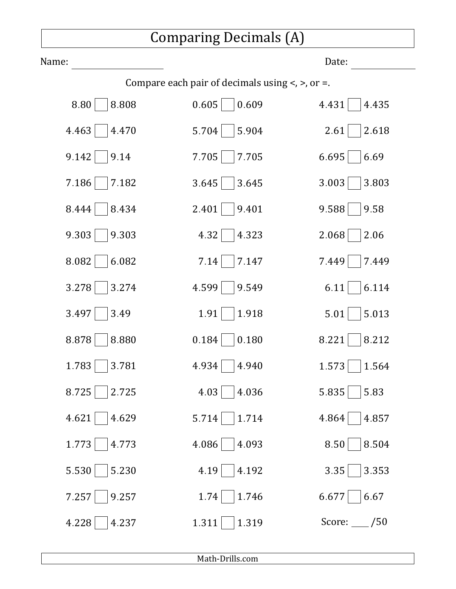## Comparing Decimals (A)

| Name:                                                     |                | Date:        |
|-----------------------------------------------------------|----------------|--------------|
| Compare each pair of decimals using $\lt$ , $\gt$ , or =. |                |              |
| 8.80                                                      | 0.609          | 4.431        |
| 8.808                                                     | 0.605          | 4.435        |
| 4.463                                                     | 5.704          | 2.61         |
| 4.470                                                     | 5.904          | 2.618        |
| 9.142                                                     | 7.705          | 6.695        |
| 9.14                                                      | 7.705          | 6.69         |
| 7.186                                                     | 3.645          | 3.003        |
| 7.182                                                     | 3.645          | 3.803        |
| 8.444                                                     | 9.401          | 9.588        |
| 8.434                                                     | 2.401          | 9.58         |
| 9.303                                                     | 4.32           | 2.068        |
| 9.303                                                     | 4.323          | 2.06         |
| 8.082                                                     | 7.147          | 7.449        |
| 6.082                                                     | 7.14           | 7.449        |
| 3.278                                                     | 4.599          | 6.114        |
| 3.274                                                     | 9.549          | 6.11         |
| 3.49                                                      | 1.91           | 5.013        |
| 3.497                                                     | 1.918          | 5.01         |
| 8.878                                                     | 0.180          | 8.221        |
| 8.880                                                     | 0.184          | 8.212        |
| 1.783                                                     | 4.934          | 1.573        |
| 3.781                                                     | 4.940          | 1.564        |
| 8.725                                                     | 4.03           | 5.835        |
| 2.725                                                     | 4.036          | 5.83         |
| 4.621                                                     | 1.714          | 4.864        |
| 4.629                                                     | 5.714          | 4.857        |
| 1.773                                                     | 4.086          | 8.50         |
| 4.773                                                     | 4.093          | 8.504        |
| 5.530                                                     | 4.192          | 3.353        |
| 5.230                                                     | 4.19           | 3.35         |
| 7.257                                                     | 1.746          | 6.677        |
| 9.257                                                     | 1.74           | 6.67         |
| 4.228<br>4.237                                            | 1.319<br>1.311 | Score: $/50$ |

Math‑Drills.com